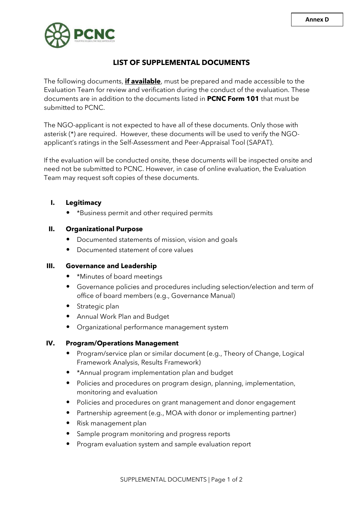

# **LIST OF SUPPLEMENTAL DOCUMENTS**

The following documents, **if available**, must be prepared and made accessible to the Evaluation Team for review and verification during the conduct of the evaluation. These documents are in addition to the documents listed in **PCNC Form 101** that must be submitted to PCNC.

The NGO-applicant is not expected to have all of these documents. Only those with asterisk (\*) are required. However, these documents will be used to verify the NGOapplicant's ratings in the Self-Assessment and Peer-Appraisal Tool (SAPAT).

If the evaluation will be conducted onsite, these documents will be inspected onsite and need not be submitted to PCNC. However, in case of online evaluation, the Evaluation Team may request soft copies of these documents.

## **I. Legitimacy**

• \*Business permit and other required permits

## **II. Organizational Purpose**

- Documented statements of mission, vision and goals
- Documented statement of core values

#### **III. Governance and Leadership**

- \*Minutes of board meetings
- Governance policies and procedures including selection/election and term of office of board members (e.g., Governance Manual)
- Strategic plan
- Annual Work Plan and Budget
- Organizational performance management system

#### **IV. Program/Operations Management**

- Program/service plan or similar document (e.g., Theory of Change, Logical Framework Analysis, Results Framework)
- \*Annual program implementation plan and budget
- Policies and procedures on program design, planning, implementation, monitoring and evaluation
- Policies and procedures on grant management and donor engagement
- Partnership agreement (e.g., MOA with donor or implementing partner)
- Risk management plan
- Sample program monitoring and progress reports
- Program evaluation system and sample evaluation report